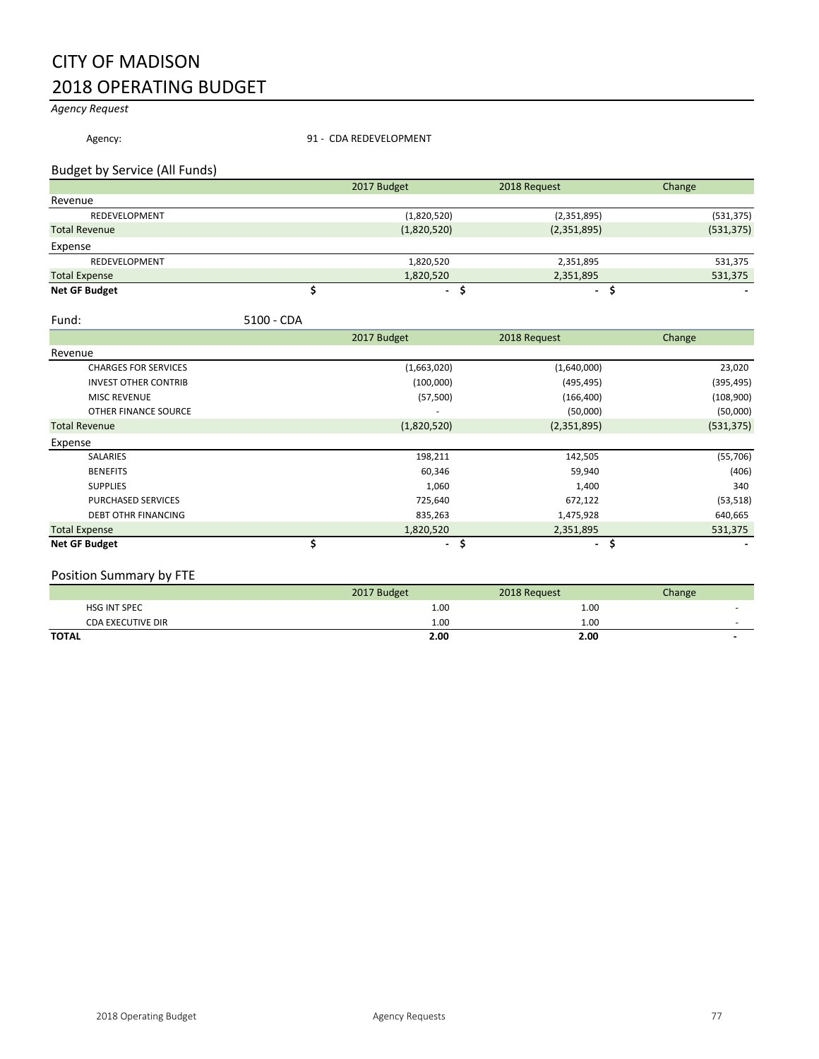## CITY OF MADISON 2018 OPERATING BUDGET

*Agency Request*

Agency: 31 - CDA REDEVELOPMENT

#### Budget by Service (All Funds)

|                      | 2017 Budget    | 2018 Request | Change     |
|----------------------|----------------|--------------|------------|
| Revenue              |                |              |            |
| REDEVELOPMENT        | (1,820,520)    | (2,351,895)  | (531, 375) |
| <b>Total Revenue</b> | (1,820,520)    | (2,351,895)  | (531, 375) |
| Expense              |                |              |            |
| REDEVELOPMENT        | 1,820,520      | 2,351,895    | 531,375    |
| <b>Total Expense</b> | 1,820,520      | 2,351,895    | 531,375    |
| <b>Net GF Budget</b> | $\blacksquare$ |              |            |

Fund: 5100 - CDA

|                             | 2017 Budget |                      | 2018 Request | Change     |
|-----------------------------|-------------|----------------------|--------------|------------|
| Revenue                     |             |                      |              |            |
| <b>CHARGES FOR SERVICES</b> |             | (1,663,020)          | (1,640,000)  | 23,020     |
| <b>INVEST OTHER CONTRIB</b> |             | (100,000)            | (495, 495)   | (395, 495) |
| <b>MISC REVENUE</b>         |             | (57, 500)            | (166, 400)   | (108,900)  |
| OTHER FINANCE SOURCE        |             | ۰                    | (50,000)     | (50,000)   |
| <b>Total Revenue</b>        |             | (1,820,520)          | (2,351,895)  | (531, 375) |
| Expense                     |             |                      |              |            |
| <b>SALARIES</b>             |             | 198,211              | 142,505      | (55, 706)  |
| <b>BENEFITS</b>             |             | 60,346               | 59,940       | (406)      |
| <b>SUPPLIES</b>             |             | 1,060                | 1,400        | 340        |
| <b>PURCHASED SERVICES</b>   |             | 725,640              | 672,122      | (53, 518)  |
| <b>DEBT OTHR FINANCING</b>  |             | 835,263              | 1,475,928    | 640,665    |
| <b>Total Expense</b>        |             | 1,820,520            | 2,351,895    | 531,375    |
| <b>Net GF Budget</b>        |             | \$<br>$\blacksquare$ | $\sim$       | \$         |

### Position Summary by FTE

|                          | 2017 Budget | 2018 Request | Change |
|--------------------------|-------------|--------------|--------|
| <b>HSG INT SPEC</b>      | 1.00        | 1.00         |        |
| <b>CDA EXECUTIVE DIR</b> | 1.00        | 1.00         | -      |
| <b>TOTAL</b>             | 2.00        | 2.00         |        |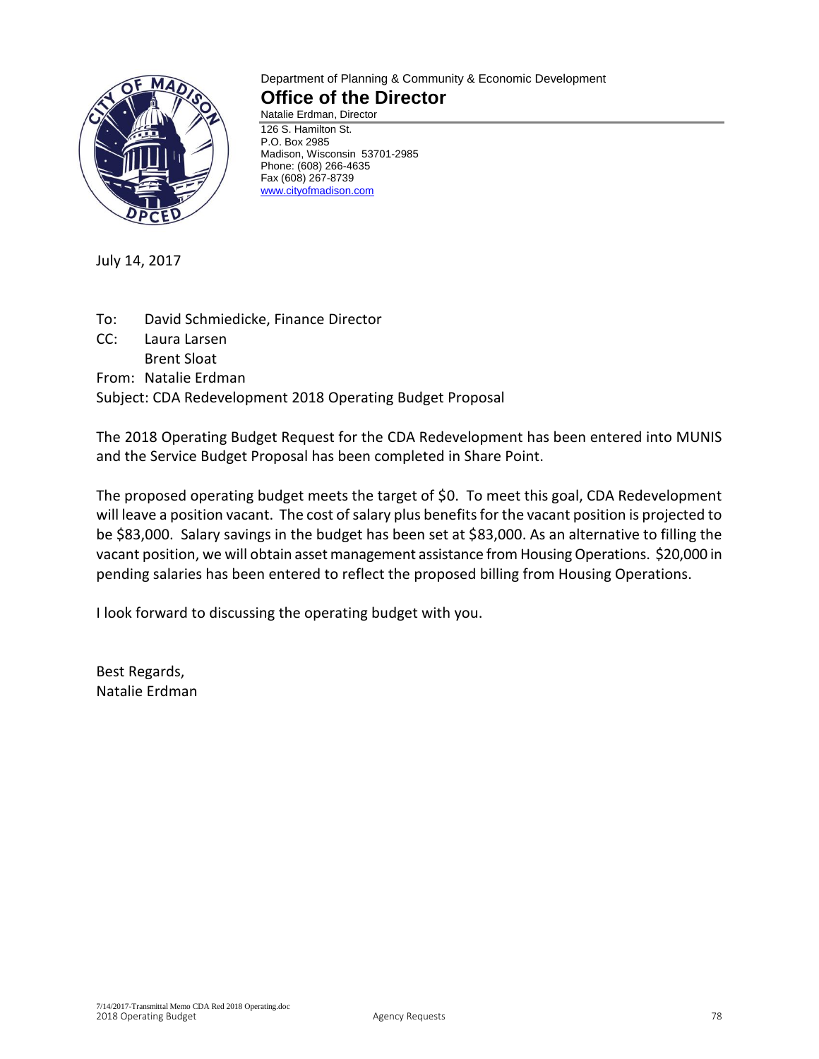

#### Department of Planning & Community & Economic Development **Office of the Director**

Natalie Erdman, Director 126 S. Hamilton St. P.O. Box 2985 Madison, Wisconsin 53701-2985 Phone: (608) 266-4635 Fax (608) 267-8739 [www.cityofmadison.com](http://www.cityofmadison.com/)

July 14, 2017

To: David Schmiedicke, Finance Director CC: Laura Larsen Brent Sloat From: Natalie Erdman Subject: CDA Redevelopment 2018 Operating Budget Proposal

The 2018 Operating Budget Request for the CDA Redevelopment has been entered into MUNIS and the Service Budget Proposal has been completed in Share Point.

The proposed operating budget meets the target of \$0. To meet this goal, CDA Redevelopment will leave a position vacant. The cost of salary plus benefits for the vacant position is projected to be \$83,000. Salary savings in the budget has been set at \$83,000. As an alternative to filling the vacant position, we will obtain asset management assistance from Housing Operations. \$20,000 in pending salaries has been entered to reflect the proposed billing from Housing Operations.

I look forward to discussing the operating budget with you.

Best Regards, Natalie Erdman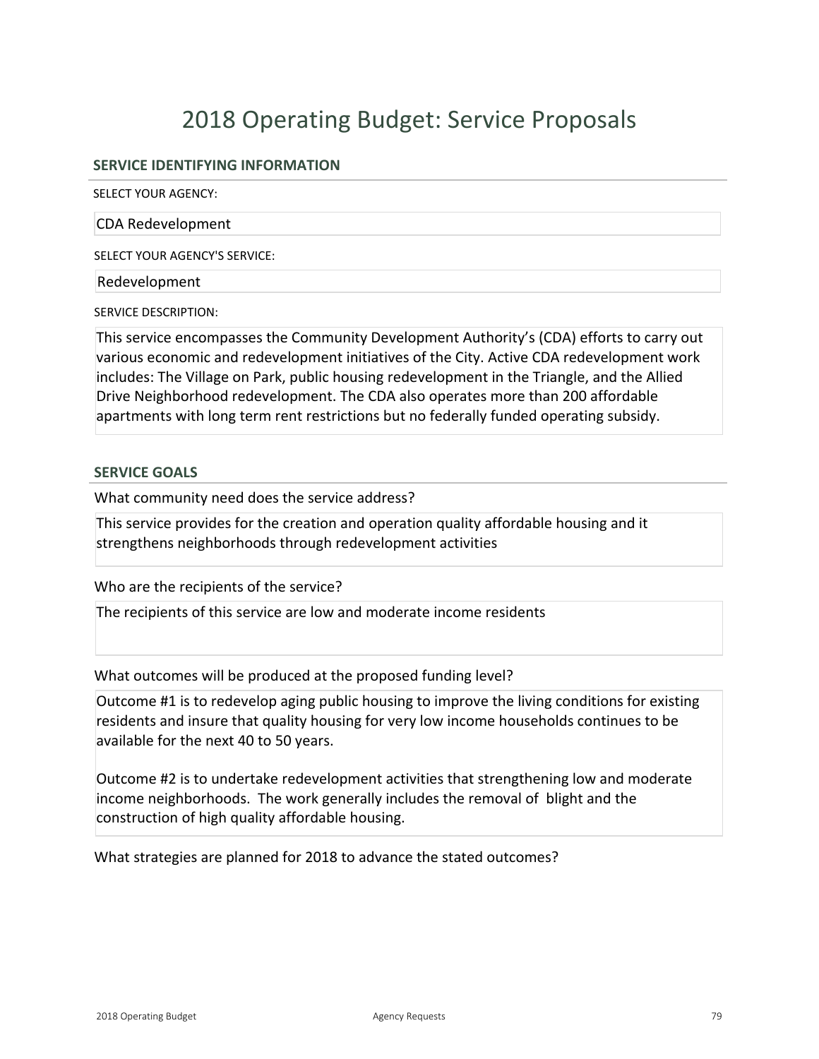# 2018 Operating Budget: Service Proposals

#### **SERVICE IDENTIFYING INFORMATION**

SELECT YOUR AGENCY:

CDA Redevelopment

SELECT YOUR AGENCY'S SERVICE:

Redevelopment

SERVICE DESCRIPTION:

This service encompasses the Community Development Authority's (CDA) efforts to carry out various economic and redevelopment initiatives of the City. Active CDA redevelopment work includes: The Village on Park, public housing redevelopment in the Triangle, and the Allied Drive Neighborhood redevelopment. The CDA also operates more than 200 affordable apartments with long term rent restrictions but no federally funded operating subsidy.

#### **SERVICE GOALS**

What community need does the service address?

This service provides for the creation and operation quality affordable housing and it strengthens neighborhoods through redevelopment activities

Who are the recipients of the service?

The recipients of this service are low and moderate income residents

What outcomes will be produced at the proposed funding level?

Outcome #1 is to redevelop aging public housing to improve the living conditions for existing residents and insure that quality housing for very low income households continues to be available for the next 40 to 50 years.

Outcome #2 is to undertake redevelopment activities that strengthening low and moderate income neighborhoods. The work generally includes the removal of blight and the construction of high quality affordable housing.

What strategies are planned for 2018 to advance the stated outcomes?